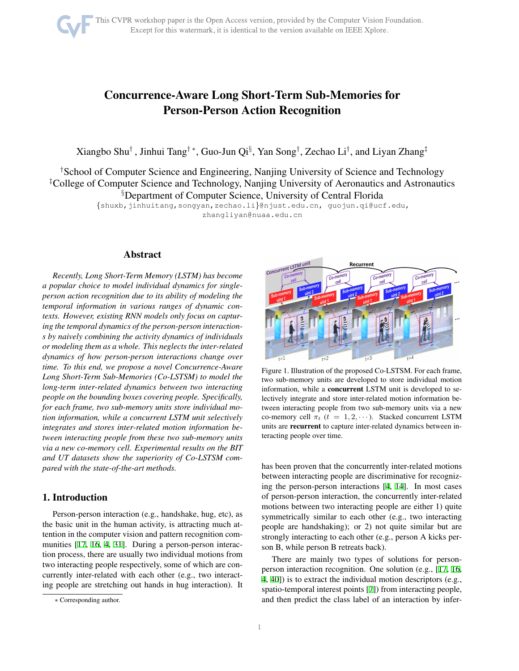# Concurrence-Aware Long Short-Term Sub-Memories for Person-Person Action Recognition

Xiangbo Shu† , Jinhui Tang†\*, Guo-Jun Qi§, Yan Song†, Zechao Li†, and Liyan Zhang‡

†School of Computer Science and Engineering, Nanjing University of Science and Technology ‡College of Computer Science and Technology, Nanjing University of Aeronautics and Astronautics §Department of Computer Science, University of Central Florida

{shuxb,jinhuitang,songyan,zechao.li}@njust.edu.cn, guojun.qi@ucf.edu,

zhangliyan@nuaa.edu.cn

## Abstract

*Recently, Long Short-Term Memory (LSTM) has become a popular choice to model individual dynamics for singleperson action recognition due to its ability of modeling the temporal information in various ranges of dynamic contexts. However, existing RNN models only focus on capturing the temporal dynamics of the person-person interactions by naively combining the activity dynamics of individuals or modeling them as a whole. This neglects the inter-related dynamics of how person-person interactions change over time. To this end, we propose a novel Concurrence-Aware Long Short-Term Sub-Memories (Co-LSTSM) to model the long-term inter-related dynamics between two interacting people on the bounding boxes covering people. Specifically, for each frame, two sub-memory units store individual motion information, while a concurrent LSTM unit selectively integrates and stores inter-related motion information between interacting people from these two sub-memory units via a new co-memory cell. Experimental results on the BIT and UT datasets show the superiority of Co-LSTSM compared with the state-of-the-art methods.*

## 1. Introduction

Person-person interaction (e.g., handshake, hug, etc), as the basic unit in the human activity, is attracting much attention in the computer vision and pattern recognition communities [\[17](#page-7-0), [16](#page-7-1), [4](#page-7-2), [31](#page-7-3)]. During a person-person interaction process, there are usually two individual motions from two interacting people respectively, some of which are concurrently inter-related with each other (e.g., two interacting people are stretching out hands in hug interaction). It



<span id="page-0-0"></span>Figure 1. Illustration of the proposed Co-LSTSM. For each frame, two sub-memory units are developed to store individual motion information, while a concurrent LSTM unit is developed to selectively integrate and store inter-related motion information between interacting people from two sub-memory units via a new co-memory cell  $\pi_t$  ( $t = 1, 2, \cdots$ ). Stacked concurrent LSTM units are recurrent to capture inter-related dynamics between interacting people over time.

has been proven that the concurrently inter-related motions between interacting people are discriminative for recognizing the person-person interactions [\[4](#page-7-2), [14](#page-7-4)]. In most cases of person-person interaction, the concurrently inter-related motions between two interacting people are either 1) quite symmetrically similar to each other (e.g., two interacting people are handshaking); or 2) not quite similar but are strongly interacting to each other (e.g., person A kicks person B, while person B retreats back).

There are mainly two types of solutions for personperson interaction recognition. One solution (e.g., [\[17](#page-7-0), [16,](#page-7-1) [4,](#page-7-2) [40](#page-7-5)]) is to extract the individual motion descriptors (e.g., spatio-temporal interest points [\[7](#page-7-6)]) from interacting people, and then predict the class label of an interaction by infer-

<sup>∗</sup> Corresponding author.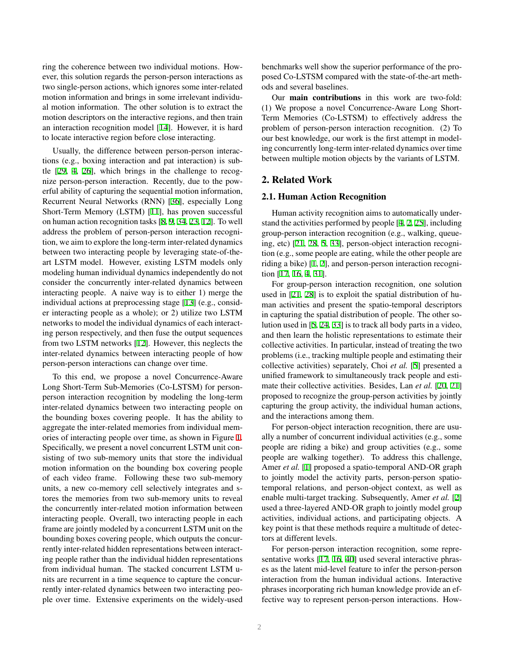ring the coherence between two individual motions. However, this solution regards the person-person interactions as two single-person actions, which ignores some inter-related motion information and brings in some irrelevant individual motion information. The other solution is to extract the motion descriptors on the interactive regions, and then train an interaction recognition model [\[14](#page-7-4)]. However, it is hard to locate interactive region before close interacting.

Usually, the difference between person-person interactions (e.g., boxing interaction and pat interaction) is subtle [\[29,](#page-7-7) [4](#page-7-2), [26](#page-7-8)], which brings in the challenge to recognize person-person interaction. Recently, due to the powerful ability of capturing the sequential motion information, Recurrent Neural Networks (RNN) [[36\]](#page-7-9), especially Long Short-Term Memory (LSTM) [[11\]](#page-7-10), has proven successful on human action recognition tasks [\[8](#page-7-11), [9,](#page-7-12) [34](#page-7-13), [23,](#page-7-14) [12](#page-7-15)]. To well address the problem of person-person interaction recognition, we aim to explore the long-term inter-related dynamics between two interacting people by leveraging state-of-theart LSTM model. However, existing LSTM models only modeling human individual dynamics independently do not consider the concurrently inter-related dynamics between interacting people. A naive way is to either 1) merge the individual actions at preprocessing stage [\[13](#page-7-16)] (e.g., consider interacting people as a whole); or 2) utilize two LSTM networks to model the individual dynamics of each interacting person respectively, and then fuse the output sequences from two LSTM networks [[12](#page-7-15)]. However, this neglects the inter-related dynamics between interacting people of how person-person interactions can change over time.

To this end, we propose a novel Concurrence-Aware Long Short-Term Sub-Memories (Co-LSTSM) for personperson interaction recognition by modeling the long-term inter-related dynamics between two interacting people on the bounding boxes covering people. It has the ability to aggregate the inter-related memories from individual memories of interacting people over time, as shown in Figure [1.](#page-0-0) Specifically, we present a novel concurrent LSTM unit consisting of two sub-memory units that store the individual motion information on the bounding box covering people of each video frame. Following these two sub-memory units, a new co-memory cell selectively integrates and stores the memories from two sub-memory units to reveal the concurrently inter-related motion information between interacting people. Overall, two interacting people in each frame are jointly modeled by a concurrent LSTM unit on the bounding boxes covering people, which outputs the concurrently inter-related hidden representations between interacting people rather than the individual hidden representations from individual human. The stacked concurrent LSTM units are recurrent in a time sequence to capture the concurrently inter-related dynamics between two interacting people over time. Extensive experiments on the widely-used benchmarks well show the superior performance of the proposed Co-LSTSM compared with the state-of-the-art methods and several baselines.

Our main contributions in this work are two-fold: (1) We propose a novel Concurrence-Aware Long Short-Term Memories (Co-LSTSM) to effectively address the problem of person-person interaction recognition. (2) To our best knowledge, our work is the first attempt in modeling concurrently long-term inter-related dynamics over time between multiple motion objects by the variants of LSTM.

## 2. Related Work

#### 2.1. Human Action Recognition

Human activity recognition aims to automatically understand the activities performed by people [[4,](#page-7-2) [2](#page-7-17), [25\]](#page-7-18), including group-person interaction recognition (e.g., walking, queueing, etc) [[21,](#page-7-19) [28](#page-7-20), [5,](#page-7-21) [33](#page-7-22)], person-object interaction recognition (e.g., some people are eating, while the other people are riding a bike) [\[1](#page-7-23), [2\]](#page-7-17), and person-person interaction recognition [\[17](#page-7-0), [16](#page-7-1), [4](#page-7-2), [31\]](#page-7-3).

For group-person interaction recognition, one solution used in [\[21](#page-7-19), [28\]](#page-7-20) is to exploit the spatial distribution of human activities and present the spatio-temporal descriptors in capturing the spatial distribution of people. The other solution used in [[5,](#page-7-21) [24](#page-7-24), [33](#page-7-22)] is to track all body parts in a video, and then learn the holistic representations to estimate their collective activities. In particular, instead of treating the two problems (i.e., tracking multiple people and estimating their collective activities) separately, Choi *et al.* [[5\]](#page-7-21) presented a unified framework to simultaneously track people and estimate their collective activities. Besides, Lan *et al.* [[20,](#page-7-25) [21\]](#page-7-19) proposed to recognize the group-person activities by jointly capturing the group activity, the individual human actions, and the interactions among them.

For person-object interaction recognition, there are usually a number of concurrent individual activities (e.g., some people are riding a bike) and group activities (e.g., some people are walking together). To address this challenge, Amer *et al.* [[1\]](#page-7-23) proposed a spatio-temporal AND-OR graph to jointly model the activity parts, person-person spatiotemporal relations, and person-object context, as well as enable multi-target tracking. Subsequently, Amer *et al.* [[2\]](#page-7-17) used a three-layered AND-OR graph to jointly model group activities, individual actions, and participating objects. A key point is that these methods require a multitude of detectors at different levels.

For person-person interaction recognition, some representative works [\[17](#page-7-0), [16](#page-7-1), [40\]](#page-7-5) used several interactive phrases as the latent mid-level feature to infer the person-person interaction from the human individual actions. Interactive phrases incorporating rich human knowledge provide an effective way to represent person-person interactions. How-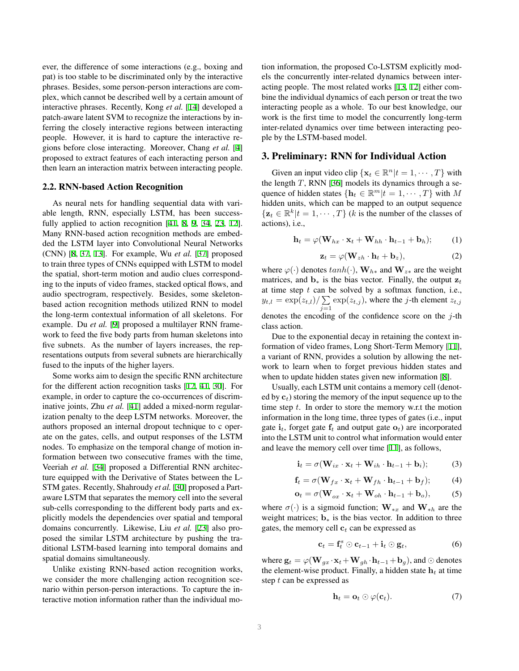ever, the difference of some interactions (e.g., boxing and pat) is too stable to be discriminated only by the interactive phrases. Besides, some person-person interactions are complex, which cannot be described well by a certain amount of interactive phrases. Recently, Kong *et al.* [\[14](#page-7-4)] developed a patch-aware latent SVM to recognize the interactions by inferring the closely interactive regions between interacting people. However, it is hard to capture the interactive regions before close interacting. Moreover, Chang *et al.* [\[4](#page-7-2)] proposed to extract features of each interacting person and then learn an interaction matrix between interacting people.

#### 2.2. RNN-based Action Recognition

As neural nets for handling sequential data with variable length, RNN, especially LSTM, has been success-fully applied to action recognition [[41,](#page-7-26) [8](#page-7-11), [9](#page-7-12), [34,](#page-7-13) [23](#page-7-14), [12\]](#page-7-15). Many RNN-based action recognition methods are embedded the LSTM layer into Convolutional Neural Networks (CNN) [\[8](#page-7-11), [37](#page-7-27), [13\]](#page-7-16). For example, Wu *et al.* [\[37](#page-7-27)] proposed to train three types of CNNs equipped with LSTM to model the spatial, short-term motion and audio clues corresponding to the inputs of video frames, stacked optical flows, and audio spectrogram, respectively. Besides, some skeletonbased action recognition methods utilized RNN to model the long-term contextual information of all skeletons. For example. Du *et al.* [\[9](#page-7-12)] proposed a multilayer RNN framework to feed the five body parts from human skeletons into five subnets. As the number of layers increases, the representations outputs from several subnets are hierarchically fused to the inputs of the higher layers.

Some works aim to design the specific RNN architecture for the different action recognition tasks [\[12](#page-7-15), [41,](#page-7-26) [30\]](#page-7-28). For example, in order to capture the co-occurrences of discriminative joints, Zhu *et al.* [[41\]](#page-7-26) added a mixed-norm regularization penalty to the deep LSTM networks. Moreover, the authors proposed an internal dropout technique to c operate on the gates, cells, and output responses of the LSTM nodes. To emphasize on the temporal change of motion information between two consecutive frames with the time, Veeriah *et al.* [\[34](#page-7-13)] proposed a Differential RNN architecture equipped with the Derivative of States between the L-STM gates. Recently, Shahroudy *et al.* [\[30](#page-7-28)] proposed a Partaware LSTM that separates the memory cell into the several sub-cells corresponding to the different body parts and explicitly models the dependencies over spatial and temporal domains concurrently. Likewise, Liu *et al.* [\[23](#page-7-14)] also proposed the similar LSTM architecture by pushing the traditional LSTM-based learning into temporal domains and spatial domains simultaneously.

Unlike existing RNN-based action recognition works, we consider the more challenging action recognition scenario within person-person interactions. To capture the interactive motion information rather than the individual motion information, the proposed Co-LSTSM explicitly models the concurrently inter-related dynamics between interacting people. The most related works [\[13](#page-7-16), [12](#page-7-15)] either combine the individual dynamics of each person or treat the two interacting people as a whole. To our best knowledge, our work is the first time to model the concurrently long-term inter-related dynamics over time between interacting people by the LSTM-based model.

## 3. Preliminary: RNN for Individual Action

Given an input video clip  $\{x_t \in \mathbb{R}^n | t = 1, \dots, T\}$  with the length  $T$ , RNN [\[36](#page-7-9)] models its dynamics through a sequence of hidden states  $\{\mathbf{h}_t \in \mathbb{R}^m | t = 1, \cdots, T\}$  with M hidden units, which can be mapped to an output sequence  $\{z_t \in \mathbb{R}^k | t = 1, \dots, T\}$  (k is the number of the classes of actions), i.e.,

$$
\mathbf{h}_t = \varphi(\mathbf{W}_{hx} \cdot \mathbf{x}_t + \mathbf{W}_{hh} \cdot \mathbf{h}_{t-1} + \mathbf{b}_h); \qquad (1)
$$

$$
\mathbf{z}_t = \varphi(\mathbf{W}_{zh} \cdot \mathbf{h}_t + \mathbf{b}_z), \tag{2}
$$

where  $\varphi(\cdot)$  denotes  $tanh(\cdot)$ ,  $\mathbf{W}_{h*}$  and  $\mathbf{W}_{z*}$  are the weight matrices, and  $\mathbf{b}_*$  is the bias vector. Finally, the output  $\mathbf{z}_t$ at time step  $t$  can be solved by a softmax function, i.e.,  $y_{t,l} = \exp(z_{t,l})/\sum$  $\sum_{j=1}^{\infty} \exp(z_{t,j})$ , where the *j*-th element  $z_{t,j}$ denotes the encoding of the confidence score on the  $j$ -th class action.

Due to the exponential decay in retaining the context information of video frames, Long Short-Term Memory [\[11](#page-7-10)], a variant of RNN, provides a solution by allowing the network to learn when to forget previous hidden states and when to update hidden states given new information [\[8](#page-7-11)].

Usually, each LSTM unit contains a memory cell (denoted by  $c_t$ ) storing the memory of the input sequence up to the time step  $t$ . In order to store the memory w.r.t the motion information in the long time, three types of gates (i.e., input gate  $\mathbf{i}_t$ , forget gate  $\mathbf{f}_t$  and output gate  $\mathbf{o}_t$ ) are incorporated into the LSTM unit to control what information would enter and leave the memory cell over time [[11\]](#page-7-10), as follows,

$$
\mathbf{i}_t = \sigma(\mathbf{W}_{ix} \cdot \mathbf{x}_t + \mathbf{W}_{ih} \cdot \mathbf{h}_{t-1} + \mathbf{b}_i); \tag{3}
$$

$$
\mathbf{f}_t = \sigma(\mathbf{W}_{fx} \cdot \mathbf{x}_t + \mathbf{W}_{fh} \cdot \mathbf{h}_{t-1} + \mathbf{b}_f); \tag{4}
$$

$$
\mathbf{o}_t = \sigma(\mathbf{W}_{ox} \cdot \mathbf{x}_t + \mathbf{W}_{oh} \cdot \mathbf{h}_{t-1} + \mathbf{b}_o), \tag{5}
$$

where  $\sigma(\cdot)$  is a sigmoid function;  $\mathbf{W}_{*x}$  and  $\mathbf{W}_{*h}$  are the weight matrices;  $\mathbf{b}_*$  is the bias vector. In addition to three gates, the memory cell  $c_t$  can be expressed as

$$
\mathbf{c}_t = \mathbf{f}_t^s \odot \mathbf{c}_{t-1} + \mathbf{i}_t \odot \mathbf{g}_t, \tag{6}
$$

where  $\mathbf{g}_t = \varphi(\mathbf{W}_{gx} \cdot \mathbf{x}_t + \mathbf{W}_{gh} \cdot \mathbf{h}_{t-1} + \mathbf{b}_g)$ , and ⊙ denotes the element-wise product. Finally, a hidden state  $h_t$  at time step  $t$  can be expressed as

$$
\mathbf{h}_t = \mathbf{o}_t \odot \varphi(\mathbf{c}_t). \tag{7}
$$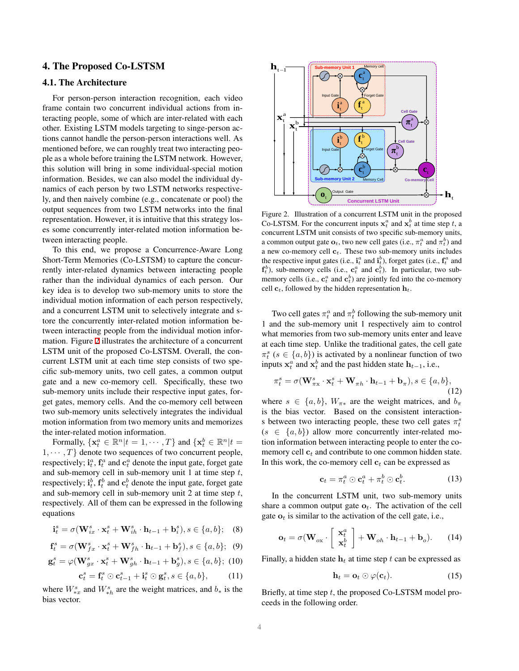## 4. The Proposed Co-LSTSM

## 4.1. The Architecture

For person-person interaction recognition, each video frame contain two concurrent individual actions from interacting people, some of which are inter-related with each other. Existing LSTM models targeting to singe-person actions cannot handle the person-person interactions well. As mentioned before, we can roughly treat two interacting people as a whole before training the LSTM network. However, this solution will bring in some individual-special motion information. Besides, we can also model the individual dynamics of each person by two LSTM networks respectively, and then naively combine (e.g., concatenate or pool) the output sequences from two LSTM networks into the final representation. However, it is intuitive that this strategy loses some concurrently inter-related motion information between interacting people.

To this end, we propose a Concurrence-Aware Long Short-Term Memories (Co-LSTSM) to capture the concurrently inter-related dynamics between interacting people rather than the individual dynamics of each person. Our key idea is to develop two sub-memory units to store the individual motion information of each person respectively, and a concurrent LSTM unit to selectively integrate and store the concurrently inter-related motion information between interacting people from the individual motion information. Figure [2](#page-3-0) illustrates the architecture of a concurrent LSTM unit of the proposed Co-LSTSM. Overall, the concurrent LSTM unit at each time step consists of two specific sub-memory units, two cell gates, a common output gate and a new co-memory cell. Specifically, these two sub-memory units include their respective input gates, forget gates, memory cells. And the co-memory cell between two sub-memory units selectively integrates the individual motion information from two memory units and memorizes the inter-related motion information.

Formally,  $\{x_t^a \in \mathbb{R}^n | t = 1, \dots, T\}$  and  $\{x_t^b \in \mathbb{R}^n | t =$  $1, \dots, T$  denote two sequences of two concurrent people, respectively;  $\mathbf{i}_t^a$ ,  $\mathbf{f}_t^a$  and  $\mathbf{c}_t^a$  denote the input gate, forget gate and sub-memory cell in sub-memory unit 1 at time step  $t$ , respectively;  $\mathbf{i}_t^b$ ,  $\mathbf{f}_t^b$  and  $\mathbf{c}_t^b$  denote the input gate, forget gate and sub-memory cell in sub-memory unit 2 at time step  $t$ , respectively. All of them can be expressed in the following equations

<span id="page-3-1"></span>
$$
\mathbf{i}_t^s = \sigma(\mathbf{W}_{ix}^s \cdot \mathbf{x}_t^s + \mathbf{W}_{ih}^s \cdot \mathbf{h}_{t-1} + \mathbf{b}_i^s), s \in \{a, b\}; \quad (8)
$$

<span id="page-3-2"></span>
$$
\mathbf{f}_t^s = \sigma(\mathbf{W}_{fx}^s \cdot \mathbf{x}_t^s + \mathbf{W}_{fh}^s \cdot \mathbf{h}_{t-1} + \mathbf{b}_f^s), s \in \{a, b\}; \tag{9}
$$

$$
\mathbf{g}_t^s = \varphi(\mathbf{W}_{gx}^s \cdot \mathbf{x}_t^s + \mathbf{W}_{gh}^s \cdot \mathbf{h}_{t-1} + \mathbf{b}_g^s), s \in \{a, b\}; \tag{10}
$$

<span id="page-3-3"></span>
$$
\mathbf{c}_t^s = \mathbf{f}_t^s \odot \mathbf{c}_{t-1}^s + \mathbf{i}_t^s \odot \mathbf{g}_t^s, s \in \{a, b\},\tag{11}
$$

where  $W_{*x}^s$  and  $W_{*h}^s$  are the weight matrices, and  $b_*$  is the bias vector.



<span id="page-3-0"></span>Figure 2. Illustration of a concurrent LSTM unit in the proposed Co-LSTSM. For the concurrent inputs  $x_t^a$  and  $x_t^b$  at time step t, a concurrent LSTM unit consists of two specific sub-memory units, a common output gate  $\mathbf{o}_t$ , two new cell gates (i.e.,  $\pi_t^a$  and  $\pi_t^b$ ) and a new co-memory cell  $c_t$ . These two sub-memory units includes the respective input gates (i.e.,  $\mathbf{i}_t^a$  and  $\mathbf{i}_t^b$ ), forget gates (i.e.,  $\mathbf{f}_t^a$  and  $f_t^b$ ), sub-memory cells (i.e.,  $c_t^a$  and  $c_t^b$ ). In particular, two submemory cells (i.e.,  $\mathbf{c}_t^a$  and  $\mathbf{c}_t^b$ ) are jointly fed into the co-memory cell  $c_t$ , followed by the hidden representation  $h_t$ .

Two cell gates  $\pi_t^a$  and  $\pi_t^b$  following the sub-memory unit 1 and the sub-memory unit 1 respectively aim to control what memories from two sub-memory units enter and leave at each time step. Unlike the traditional gates, the cell gate  $\pi_t^s$  ( $s \in \{a, b\}$ ) is activated by a nonlinear function of two inputs  $x_t^a$  and  $x_t^b$  and the past hidden state  $h_{t-1}$ , i.e.,

<span id="page-3-4"></span>
$$
\pi_t^s = \sigma(\mathbf{W}_{\pi\mathbf{x}}^s \cdot \mathbf{x}_t^s + \mathbf{W}_{\pi h} \cdot \mathbf{h}_{t-1} + \mathbf{b}_{\pi}), s \in \{a, b\},\tag{12}
$$

where  $s \in \{a, b\}$ ,  $W_{\pi *}$  are the weight matrices, and  $b_{\pi}$ is the bias vector. Based on the consistent interactions between two interacting people, these two cell gates  $\pi_t^s$  $(s \in \{a, b\})$  allow more concurrently inter-related motion information between interacting people to enter the comemory cell  $c_t$  and contribute to one common hidden state. In this work, the co-memory cell  $c_t$  can be expressed as

<span id="page-3-5"></span>
$$
\mathbf{c}_t = \pi_t^a \odot \mathbf{c}_t^a + \pi_t^b \odot \mathbf{c}_t^b. \tag{13}
$$

In the concurrent LSTM unit, two sub-memory units share a common output gate  $o_t$ . The activation of the cell gate  $o_t$  is similar to the activation of the cell gate, i.e.,

<span id="page-3-6"></span>
$$
\mathbf{o}_t = \sigma(\mathbf{W}_{ox} \cdot \left[ \begin{array}{c} \mathbf{x}_t^a \\ \mathbf{x}_t^b \end{array} \right] + \mathbf{W}_{oh} \cdot \mathbf{h}_{t-1} + \mathbf{b}_o). \tag{14}
$$

Finally, a hidden state  $h_t$  at time step t can be expressed as

<span id="page-3-7"></span>
$$
\mathbf{h}_t = \mathbf{o}_t \odot \varphi(\mathbf{c}_t). \tag{15}
$$

Briefly, at time step  $t$ , the proposed Co-LSTSM model proceeds in the following order.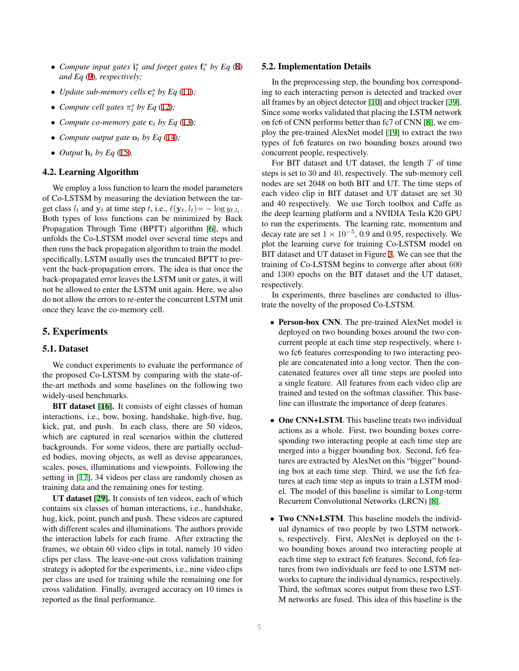- Compute input gates  $\mathbf{i}_t^s$  and forget gates  $\mathbf{f}_t^s$  by Eq [\(8](#page-3-1)) *and Eq* [\(9](#page-3-2))*, respectively;*
- *Update sub-memory cells*  $\mathbf{c}_t^s$  *by Eq* ([11\)](#page-3-3)*;*
- *Compute cell gates*  $\pi_t^s$  *by Eq* [\(12](#page-3-4))*;*
- *Compute co-memory gate*  $c_t$  *by Eq* [\(13](#page-3-5));
- *Compute output gate*  $\mathbf{o}_t$  *by Eq* ([14\)](#page-3-6)*;*
- *Output*  $h_t$  *by Eq* [\(15](#page-3-7)).

## 4.2. Learning Algorithm

We employ a loss function to learn the model parameters of Co-LSTSM by measuring the deviation between the target class  $l_t$  and  $y_t$  at time step t, i.e.,  $\ell(y_t, l_t) = -\log y_{t, l_t}$ . Both types of loss functions can be minimized by Back Propagation Through Time (BPTT) algorithm [[6\]](#page-7-29), which unfolds the Co-LSTSM model over several time steps and then runs the back propagation algorithm to train the model. specifically, LSTM usually uses the truncated BPTT to prevent the back-propagation errors. The idea is that once the back-propagated error leaves the LSTM unit or gates, it will not be allowed to enter the LSTM unit again. Here, we also do not allow the errors to re-enter the concurrent LSTM unit once they leave the co-memory cell.

#### 5. Experiments

## 5.1. Dataset

We conduct experiments to evaluate the performance of the proposed Co-LSTSM by comparing with the state-ofthe-art methods and some baselines on the following two widely-used benchmarks.

BIT dataset [[16\]](#page-7-1). It consists of eight classes of human interactions, i.e., bow, boxing, handshake, high-five, hug, kick, pat, and push. In each class, there are 50 videos, which are captured in real scenarios within the cluttered backgrounds. For some videos, there are partially occluded bodies, moving objects, as well as devise appearances, scales, poses, illuminations and viewpoints. Following the setting in [\[17](#page-7-0)], 34 videos per class are randomly chosen as training data and the remaining ones for testing.

UT dataset [\[29](#page-7-7)]. It consists of ten videos, each of which contains six classes of human interactions, i.e., handshake, hug, kick, point, punch and push. These videos are captured with different scales and illuminations. The authors provide the interaction labels for each frame. After extracting the frames, we obtain 60 video clips in total, namely 10 video clips per class. The leave-one-out cross validation training strategy is adopted for the experiments, i.e., nine video clips per class are used for training while the remaining one for cross validation. Finally, averaged accuracy on 10 times is reported as the final performance.

#### 5.2. Implementation Details

In the preprocessing step, the bounding box corresponding to each interacting person is detected and tracked over all frames by an object detector [[10\]](#page-7-30) and object tracker [\[39](#page-7-31)]. Since some works validated that placing the LSTM network on fc6 of CNN performs better than fc7 of CNN [[8\]](#page-7-11), we employ the pre-trained AlexNet model [[19\]](#page-7-32) to extract the two types of fc6 features on two bounding boxes around two concurrent people, respectively.

For BIT dataset and UT dataset, the length  $T$  of time steps is set to 30 and 40, respectively. The sub-memory cell nodes are set 2048 on both BIT and UT. The time steps of each video clip in BIT dataset and UT dataset are set 30 and 40 respectively. We use Torch toolbox and Caffe as the deep learning platform and a NVIDIA Tesla K20 GPU to run the experiments. The learning rate, momentum and decay rate are set  $1 \times 10^{-5}$ , 0.9 and 0.95, respectively. We plot the learning curve for training Co-LSTSM model on BIT dataset and UT dataset in Figure [3](#page-5-0). We can see that the training of Co-LSTSM begins to converge after about 600 and 1300 epochs on the BIT dataset and the UT dataset, respectively.

In experiments, three baselines are conducted to illustrate the novelty of the proposed Co-LSTSM.

- Person-box CNN. The pre-trained AlexNet model is deployed on two bounding boxes around the two concurrent people at each time step respectively, where two fc6 features corresponding to two interacting people are concatenated into a long vector. Then the concatenated features over all time steps are pooled into a single feature. All features from each video clip are trained and tested on the softmax classifier. This baseline can illustrate the importance of deep features.
- One CNN+LSTM. This baseline treats two individual actions as a whole. First, two bounding boxes corresponding two interacting people at each time step are merged into a bigger bounding box. Second, fc6 features are extracted by AlexNet on this "bigger" bounding box at each time step. Third, we use the fc6 features at each time step as inputs to train a LSTM model. The model of this baseline is similar to Long-term Recurrent Convolutional Networks (LRCN) [[8\]](#page-7-11).
- Two CNN+LSTM. This baseline models the individual dynamics of two people by two LSTM networks, respectively. First, AlexNet is deployed on the two bounding boxes around two interacting people at each time step to extract fc6 features. Second, fc6 features from two individuals are feed to one LSTM networks to capture the individual dynamics, respectively. Third, the softmax scores output from these two LST-M networks are fused. This idea of this baseline is the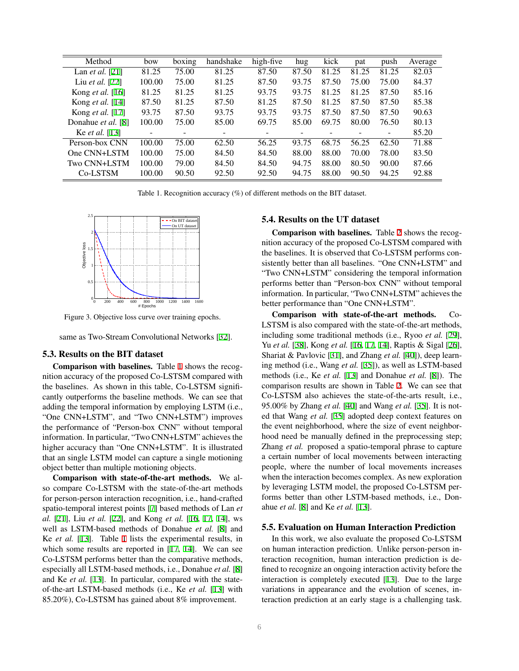| Method                  | bow    | boxing | handshake | high-five                | hug   | kick  | pat   | push              | Average |
|-------------------------|--------|--------|-----------|--------------------------|-------|-------|-------|-------------------|---------|
| Lan <i>et al.</i> [21]  | 81.25  | 75.00  | 81.25     | 87.50                    | 87.50 | 81.25 | 81.25 | 81.25             | 82.03   |
| Liu et al. [22]         | 100.00 | 75.00  | 81.25     | 87.50                    | 93.75 | 87.50 | 75.00 | 75.00             | 84.37   |
| Kong <i>et al.</i> [16] | 81.25  | 81.25  | 81.25     | 93.75                    | 93.75 | 81.25 | 81.25 | 87.50             | 85.16   |
| Kong et al. [14]        | 87.50  | 81.25  | 87.50     | 81.25                    | 87.50 | 81.25 | 87.50 | 87.50             | 85.38   |
| Kong <i>et al.</i> [17] | 93.75  | 87.50  | 93.75     | 93.75                    | 93.75 | 87.50 | 87.50 | 87.50             | 90.63   |
| Donahue et al. [8]      | 100.00 | 75.00  | 85.00     | 69.75                    | 85.00 | 69.75 | 80.00 | 76.50             | 80.13   |
| Ke <i>et al.</i> [13]   |        |        |           | $\overline{\phantom{a}}$ |       |       |       | $\qquad \qquad -$ | 85.20   |
| Person-box CNN          | 100.00 | 75.00  | 62.50     | 56.25                    | 93.75 | 68.75 | 56.25 | 62.50             | 71.88   |
| One CNN+LSTM            | 100.00 | 75.00  | 84.50     | 84.50                    | 88.00 | 88.00 | 70.00 | 78.00             | 83.50   |
| Two CNN+LSTM            | 100.00 | 79.00  | 84.50     | 84.50                    | 94.75 | 88.00 | 80.50 | 90.00             | 87.66   |
| Co-LSTSM                | 100.00 | 90.50  | 92.50     | 92.50                    | 94.75 | 88.00 | 90.50 | 94.25             | 92.88   |

<span id="page-5-1"></span>Table 1. Recognition accuracy (%) of different methods on the BIT dataset.



<span id="page-5-0"></span>Figure 3. Objective loss curve over training epochs.

same as Two-Stream Convolutional Networks [[32\]](#page-7-34).

#### 5.3. Results on the BIT dataset

Comparison with baselines. Table [1](#page-5-1) shows the recognition accuracy of the proposed Co-LSTSM compared with the baselines. As shown in this table, Co-LSTSM significantly outperforms the baseline methods. We can see that adding the temporal information by employing LSTM (i.e., "One CNN+LSTM", and "Two CNN+LSTM") improves the performance of "Person-box CNN" without temporal information. In particular, "Two CNN+LSTM" achieves the higher accuracy than "One CNN+LSTM". It is illustrated that an single LSTM model can capture a single motioning object better than multiple motioning objects.

Comparison with state-of-the-art methods. We also compare Co-LSTSM with the state-of-the-art methods for person-person interaction recognition, i.e., hand-crafted spatio-temporal interest points [[7\]](#page-7-6) based methods of Lan *et al.* [\[21](#page-7-19)], Liu *et al.* [\[22](#page-7-33)], and Kong *et al.* [\[16](#page-7-1), [17,](#page-7-0) [14\]](#page-7-4), ws well as LSTM-based methods of Donahue *et al.* [[8\]](#page-7-11) and Ke *et al.* [[13](#page-7-16)]. Table [1](#page-5-1) lists the experimental results, in which some results are reported in [\[17](#page-7-0), [14\]](#page-7-4). We can see Co-LSTSM performs better than the comparative methods, especially all LSTM-based methods, i.e., Donahue *et al.* [\[8](#page-7-11)] and Ke *et al.* [[13\]](#page-7-16). In particular, compared with the stateof-the-art LSTM-based methods (i.e., Ke *et al.* [[13](#page-7-16)] with 85.20%), Co-LSTSM has gained about 8% improvement.

## 5.4. Results on the UT dataset

Comparison with baselines. Table [2](#page-6-0) shows the recognition accuracy of the proposed Co-LSTSM compared with the baselines. It is observed that Co-LSTSM performs consistently better than all baselines. "One CNN+LSTM" and "Two CNN+LSTM" considering the temporal information performs better than "Person-box CNN" without temporal information. In particular, "Two CNN+LSTM" achieves the better performance than "One CNN+LSTM".

Comparison with state-of-the-art methods. Co-LSTSM is also compared with the state-of-the-art methods, including some traditional methods (i.e., Ryoo *et al.* [\[29](#page-7-7)], Yu *et al.* [\[38](#page-7-35)], Kong *et al.* [[16,](#page-7-1) [17,](#page-7-0) [14\]](#page-7-4), Raptis & Sigal [\[26](#page-7-8)], Shariat & Pavlovic [\[31](#page-7-3)], and Zhang *et al.* [[40\]](#page-7-5)), deep learning method (i.e., Wang *et al.* [\[35](#page-7-36)]), as well as LSTM-based methods (i.e., Ke *et al.* [\[13](#page-7-16)] and Donahue *et al.* [\[8](#page-7-11)]). The comparison results are shown in Table [2](#page-6-0). We can see that Co-LSTSM also achieves the state-of-the-arts result, i.e., 95.00% by Zhang *et al.* [\[40](#page-7-5)] and Wang *et al.* [\[35](#page-7-36)]. It is noted that Wang *et al.* [[35\]](#page-7-36) adopted deep context features on the event neighborhood, where the size of event neighborhood need be manually defined in the preprocessing step; Zhang *et al.* proposed a spatio-temporal phrase to capture a certain number of local movements between interacting people, where the number of local movements increases when the interaction becomes complex. As new exploration by leveraging LSTM model, the proposed Co-LSTSM performs better than other LSTM-based methods, i.e., Donahue *et al.* [[8\]](#page-7-11) and Ke *et al.* [\[13](#page-7-16)].

#### 5.5. Evaluation on Human Interaction Prediction

In this work, we also evaluate the proposed Co-LSTSM on human interaction prediction. Unlike person-person interaction recognition, human interaction prediction is defined to recognize an ongoing interaction activity before the interaction is completely executed [\[13](#page-7-16)]. Due to the large variations in appearance and the evolution of scenes, interaction prediction at an early stage is a challenging task.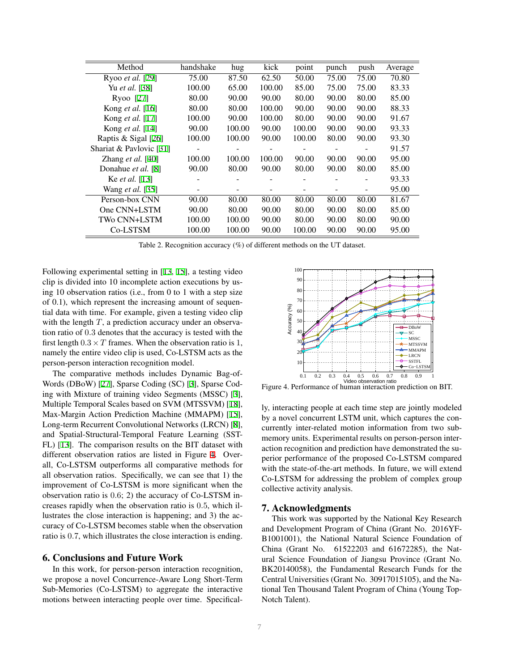| Method                   | handshake | hug    | kick   | point  | punch | push  | Average |
|--------------------------|-----------|--------|--------|--------|-------|-------|---------|
| Ryoo et al. [29]         | 75.00     | 87.50  | 62.50  | 50.00  | 75.00 | 75.00 | 70.80   |
| Yu et al. [38]           | 100.00    | 65.00  | 100.00 | 85.00  | 75.00 | 75.00 | 83.33   |
| Ryoo [27]                | 80.00     | 90.00  | 90.00  | 80.00  | 90.00 | 80.00 | 85.00   |
| Kong <i>et al.</i> [16]  | 80.00     | 80.00  | 100.00 | 90.00  | 90.00 | 90.00 | 88.33   |
| Kong et al. [17]         | 100.00    | 90.00  | 100.00 | 80.00  | 90.00 | 90.00 | 91.67   |
| Kong <i>et al.</i> [14]  | 90.00     | 100.00 | 90.00  | 100.00 | 90.00 | 90.00 | 93.33   |
| Raptis & Sigal [26]      | 100.00    | 100.00 | 90.00  | 100.00 | 80.00 | 90.00 | 93.30   |
| Shariat & Pavlovic [31]  |           |        |        |        |       |       | 91.57   |
| Zhang <i>et al.</i> [40] | 100.00    | 100.00 | 100.00 | 90.00  | 90.00 | 90.00 | 95.00   |
| Donahue et al. [8]       | 90.00     | 80.00  | 90.00  | 80.00  | 90.00 | 80.00 | 85.00   |
| Ke <i>et al.</i> [13]    |           |        |        |        |       |       | 93.33   |
| Wang et al. [35]         |           |        |        |        |       |       | 95.00   |
| Person-box CNN           | 90.00     | 80.00  | 80.00  | 80.00  | 80.00 | 80.00 | 81.67   |
| One CNN+LSTM             | 90.00     | 80.00  | 90.00  | 80.00  | 90.00 | 80.00 | 85.00   |
| TWo CNN+LSTM             | 100.00    | 100.00 | 90.00  | 80.00  | 90.00 | 80.00 | 90.00   |
| Co-LSTSM                 | 100.00    | 100.00 | 90.00  | 100.00 | 90.00 | 90.00 | 95.00   |

<span id="page-6-0"></span>Table 2. Recognition accuracy (%) of different methods on the UT dataset.

Following experimental setting in [[13](#page-7-16), [15](#page-7-38)], a testing video clip is divided into 10 incomplete action executions by using 10 observation ratios (i.e., from 0 to 1 with a step size of 0.1), which represent the increasing amount of sequential data with time. For example, given a testing video clip with the length  $T$ , a prediction accuracy under an observation ratio of 0.3 denotes that the accuracy is tested with the first length  $0.3 \times T$  frames. When the observation ratio is 1, namely the entire video clip is used, Co-LSTSM acts as the person-person interaction recognition model.

The comparative methods includes Dynamic Bag-of-Words (DBoW) [\[27](#page-7-37)], Sparse Coding (SC) [[3\]](#page-7-39), Sparse Coding with Mixture of training video Segments (MSSC) [[3\]](#page-7-39), Multiple Temporal Scales based on SVM (MTSSVM) [[18\]](#page-7-40), Max-Margin Action Prediction Machine (MMAPM) [[15\]](#page-7-38), Long-term Recurrent Convolutional Networks (LRCN) [[8\]](#page-7-11), and Spatial-Structural-Temporal Feature Learning (SST-FL) [[13\]](#page-7-16). The comparison results on the BIT dataset with different observation ratios are listed in Figure [4](#page-6-1). Overall, Co-LSTSM outperforms all comparative methods for all observation ratios. Specifically, we can see that 1) the improvement of Co-LSTSM is more significant when the observation ratio is 0.6; 2) the accuracy of Co-LSTSM increases rapidly when the observation ratio is 0.5, which illustrates the close interaction is happening; and 3) the accuracy of Co-LSTSM becomes stable when the observation ratio is 0.7, which illustrates the close interaction is ending.

#### 6. Conclusions and Future Work

In this work, for person-person interaction recognition, we propose a novel Concurrence-Aware Long Short-Term Sub-Memories (Co-LSTSM) to aggregate the interactive motions between interacting people over time. Specifical-



<span id="page-6-1"></span>Figure 4. Performance of human interaction prediction on BIT.

ly, interacting people at each time step are jointly modeled by a novel concurrent LSTM unit, which captures the concurrently inter-related motion information from two submemory units. Experimental results on person-person interaction recognition and prediction have demonstrated the superior performance of the proposed Co-LSTSM compared with the state-of-the-art methods. In future, we will extend Co-LSTSM for addressing the problem of complex group collective activity analysis.

#### 7. Acknowledgments

This work was supported by the National Key Research and Development Program of China (Grant No. 2016YF-B1001001), the National Natural Science Foundation of China (Grant No. 61522203 and 61672285), the Natural Science Foundation of Jiangsu Province (Grant No. BK20140058), the Fundamental Research Funds for the Central Universities (Grant No. 30917015105), and the National Ten Thousand Talent Program of China (Young Top-Notch Talent).